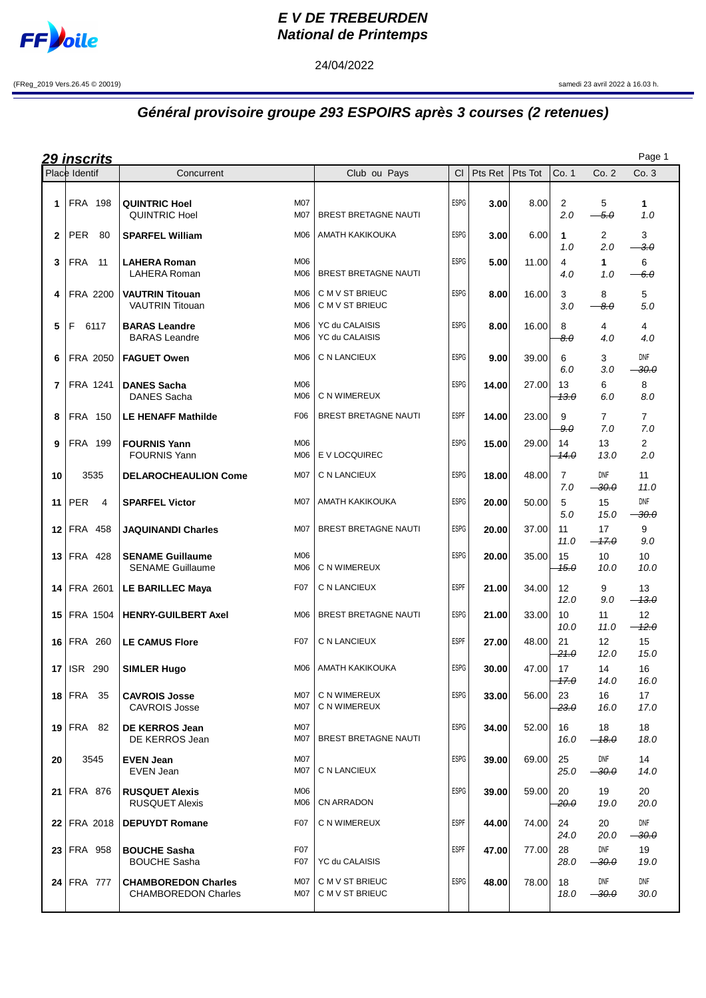

## **E V DE TREBEURDEN National de Printemps**

24/04/2022

(FReg\_2019 Vers.26.45 © 20019) samedi 23 avril 2022 à 16.03 h.

## **Général provisoire groupe 293 ESPOIRS après 3 courses (2 retenues)**

| Page 1<br><u> 29 inscrits</u> |                    |                                                                        |                                    |             |         |         |                          |                               |                              |
|-------------------------------|--------------------|------------------------------------------------------------------------|------------------------------------|-------------|---------|---------|--------------------------|-------------------------------|------------------------------|
|                               | Place Identif      | Concurrent                                                             | Club ou Pays                       | <b>CI</b>   | Pts Ret | Pts Tot | Co. 1                    | Co. 2                         | Co. 3                        |
| 1.                            | <b>FRA 198</b>     | <b>M07</b><br><b>QUINTRIC Hoel</b><br><b>QUINTRIC Hoel</b><br>M07      | <b>BREST BRETAGNE NAUTI</b>        | <b>ESPG</b> | 3.00    | 8.00    | $\overline{2}$<br>2.0    | 5<br>$-5.0$                   | $\mathbf{1}$<br>1.0          |
| $\mathbf{2}$                  | <b>PER</b><br>80   | <b>SPARFEL William</b><br>M06                                          | AMATH KAKIKOUKA                    | <b>ESPG</b> | 3.00    | 6.00    | 1<br>1.0                 | 2<br>2.0                      | 3<br>$-3.0$                  |
| 3                             | FRA<br>11          | M06<br><b>LAHERA Roman</b><br><b>LAHERA Roman</b><br>M06               | <b>BREST BRETAGNE NAUTI</b>        | <b>ESPG</b> | 5.00    | 11.00   | 4<br>4.0                 | $\mathbf{1}$<br>1.0           | 6<br>-6.0                    |
| 4                             | FRA 2200           | <b>VAUTRIN Titouan</b><br>M06<br><b>VAUTRIN Titouan</b><br>M06         | C M V ST BRIEUC<br>C M V ST BRIEUC | <b>ESPG</b> | 8.00    | 16.00   | 3<br>3.0                 | 8<br>$-8.0$                   | 5<br>$5.0\,$                 |
| 5                             | F.<br>6117         | <b>BARAS Leandre</b><br>M06<br><b>BARAS</b> Leandre<br>M06             | YC du CALAISIS<br>YC du CALAISIS   | <b>ESPG</b> | 8.00    | 16.00   | 8<br>$\theta$ . $\theta$ | 4<br>4.0                      | 4<br>4.0                     |
| 6                             | FRA 2050           | M06<br><b>FAGUET Owen</b>                                              | C N LANCIEUX                       | <b>ESPG</b> | 9.00    | 39.00   | 6<br>6.0                 | 3<br>3.0                      | DNF<br><del>30.0</del>       |
| 7                             | FRA 1241           | <b>DANES Sacha</b><br>M06<br>DANES Sacha<br>M06                        | C N WIMEREUX                       | <b>ESPG</b> | 14.00   | 27.00   | 13<br><del>13.0</del>    | 6<br>6.0                      | 8<br>8.0                     |
| 8                             | <b>FRA 150</b>     | F06<br><b>LE HENAFF Mathilde</b>                                       | <b>BREST BRETAGNE NAUTI</b>        | <b>ESPF</b> | 14.00   | 23.00   | 9<br>9.0                 | $\overline{7}$<br>7.0         | $\overline{7}$<br>7.0        |
| 9                             | FRA 199            | M06<br><b>FOURNIS Yann</b><br>M06<br><b>FOURNIS Yann</b>               | E V LOCQUIREC                      | <b>ESPG</b> | 15.00   | 29.00   | 14<br>14.0               | 13<br>13.0                    | $\overline{2}$<br>2.0        |
| 10                            | 3535               | <b>DELAROCHEAULION Come</b><br>M07                                     | C N LANCIEUX                       | <b>ESPG</b> | 18.00   | 48.00   | $\overline{7}$<br>7.0    | DNF<br>$-30.0$                | 11<br>11.0                   |
| 11                            | PER<br>4           | <b>M07</b><br><b>SPARFEL Victor</b>                                    | AMATH KAKIKOUKA                    | <b>ESPG</b> | 20.00   | 50.00   | 5<br>5.0                 | 15<br>15.0                    | <b>DNF</b><br>$-30.0$        |
| 12 <sub>1</sub>               | <b>FRA 458</b>     | M07<br><b>JAQUINANDI Charles</b>                                       | <b>BREST BRETAGNE NAUTI</b>        | <b>ESPG</b> | 20.00   | 37.00   | 11<br>11.0               | 17<br>$-47.0$                 | 9<br>9.0                     |
| 13                            | <b>FRA 428</b>     | M06<br><b>SENAME Guillaume</b><br>M06<br><b>SENAME Guillaume</b>       | C N WIMEREUX                       | <b>ESPG</b> | 20.00   | 35.00   | 15<br>15.0               | 10<br>10.0                    | 10<br>10.0                   |
| 14                            | FRA 2601           | F <sub>0</sub> 7<br>LE BARILLEC Maya                                   | C N LANCIEUX                       | <b>ESPF</b> | 21.00   | 34.00   | 12<br>12.0               | 9<br>9.0                      | 13<br>$-13.0$                |
| 15                            | <b>FRA 1504</b>    | <b>HENRY-GUILBERT Axel</b><br>M06                                      | <b>BREST BRETAGNE NAUTI</b>        | <b>ESPG</b> | 21.00   | 33.00   | 10<br>10.0               | 11<br>11.0                    | $12 \overline{ }$<br>$-42.0$ |
|                               | 16 FRA 260         | <b>LE CAMUS Flore</b><br>F <sub>0</sub> 7                              | C N LANCIEUX                       | <b>ESPF</b> | 27.00   | 48.00   | 21<br>21.0               | $12 \overline{ }$<br>12.0     | 15<br>15.0                   |
| 17                            | <b>ISR 290</b>     | <b>SIMLER Hugo</b><br>M06                                              | AMATH KAKIKOUKA                    | <b>ESPG</b> | 30.00   | 47.00   | 17<br>17.0               | 14<br>14.0                    | 16<br>16.0                   |
|                               | 18   FRA 35        | M07<br><b>CAVROIS Josse</b><br>M07<br><b>CAVROIS Josse</b>             | C N WIMEREUX<br>C N WIMEREUX       | <b>ESPG</b> | 33.00   | 56.00   | 23<br>$-23.0$            | 16<br>16.0                    | 17<br>17.0                   |
|                               | $19$ FRA 82        | M07<br><b>DE KERROS Jean</b><br>M07<br>DE KERROS Jean                  | BREST BRETAGNE NAUTI               | ESPG        | 34.00   | 52.00   | 16<br>16.0               | 18<br>$-18.0$                 | 18<br>18.0                   |
| 20                            | 3545               | <b>M07</b><br><b>EVEN Jean</b><br>M07<br>EVEN Jean                     | C N LANCIEUX                       | ESPG        | 39.00   | 69.00   | 25<br>25.0               | DNF<br>$\rightarrowtail 30.0$ | 14<br>14.0                   |
|                               | 21 FRA 876         | M06<br><b>RUSQUET Alexis</b><br><b>RUSQUET Alexis</b><br>M06           | CN ARRADON                         | <b>ESPG</b> | 39.00   | 59.00   | 20<br>-20.0              | 19<br>19.0                    | 20<br>20.0                   |
|                               | <b>22 FRA 2018</b> | F07<br><b>DEPUYDT Romane</b>                                           | C N WIMEREUX                       | ESPF        | 44.00   | 74.00   | 24<br>24.0               | 20<br>20.0                    | DNF<br><del>30.0</del>       |
|                               | 23 FRA 958         | F07<br><b>BOUCHE Sasha</b><br>F07<br><b>BOUCHE Sasha</b>               | YC du CALAISIS                     | <b>ESPF</b> | 47.00   | 77.00   | 28<br>28.0               | DNF<br>$\rightarrowtail 30.0$ | 19<br>19.0                   |
|                               | 24 FRA 777         | M07<br><b>CHAMBOREDON Charles</b><br>M07<br><b>CHAMBOREDON Charles</b> | C M V ST BRIEUC<br>C M V ST BRIEUC | <b>ESPG</b> | 48.00   | 78.00   | 18<br>18.0               | DNF<br>$-30.0$                | DNF<br>30.0                  |